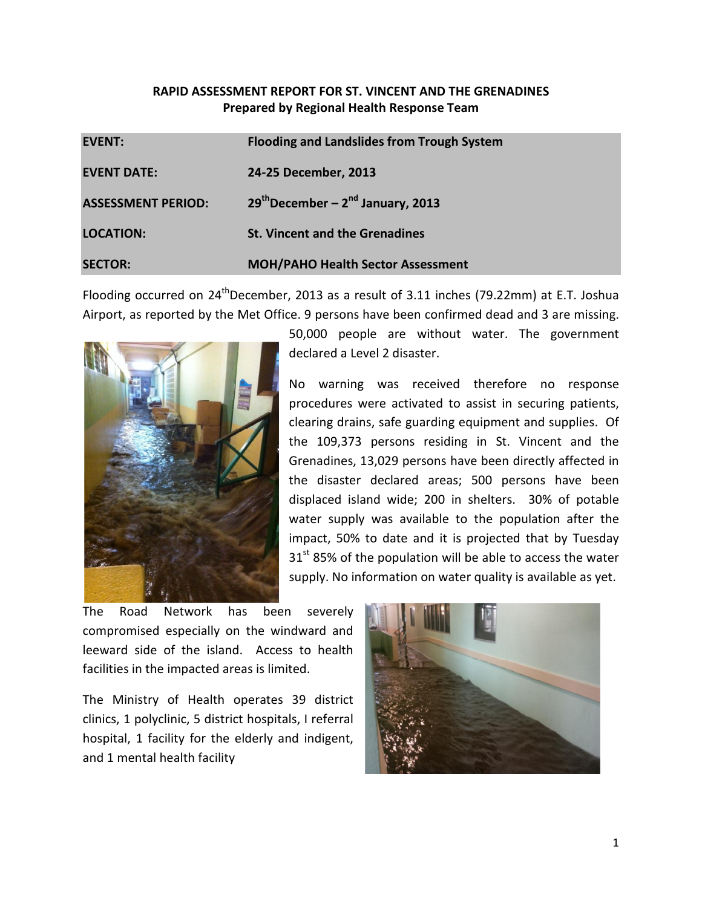# RAPID ASSESSMENT REPORT FOR ST. VINCENT AND THE GRENADINES Prepared by Regional Health Response Team

| <b>EVENT:</b>             | <b>Flooding and Landslides from Trough System</b> |
|---------------------------|---------------------------------------------------|
| <b>EVENT DATE:</b>        | 24-25 December, 2013                              |
| <b>ASSESSMENT PERIOD:</b> | $29th$ December – $2nd$ January, 2013             |
| <b>LOCATION:</b>          | <b>St. Vincent and the Grenadines</b>             |
| <b>SECTOR:</b>            | <b>MOH/PAHO Health Sector Assessment</b>          |

Flooding occurred on  $24^{\text{th}}$ December, 2013 as a result of 3.11 inches (79.22mm) at E.T. Joshua Airport, as reported by the Met Office. 9 persons have been confirmed dead and 3 are missing.



50,000 people are without water. The government declared a Level 2 disaster.

No warning was received therefore no response procedures were activated to assist in securing patients, clearing drains, safe guarding equipment and supplies. Of the 109,373 persons residing in St. Vincent and the Grenadines, 13,029 persons have been directly affected in the disaster declared areas; 500 persons have been displaced island wide; 200 in shelters. 30% of potable water supply was available to the population after the impact, 50% to date and it is projected that by Tuesday  $31<sup>st</sup>$  85% of the population will be able to access the water supply. No information on water quality is available as yet.

The Road Network has been severely compromised especially on the windward and leeward side of the island. Access to health facilities in the impacted areas is limited.

The Ministry of Health operates 39 district clinics, 1 polyclinic, 5 district hospitals, I referral hospital, 1 facility for the elderly and indigent, and 1 mental health facility

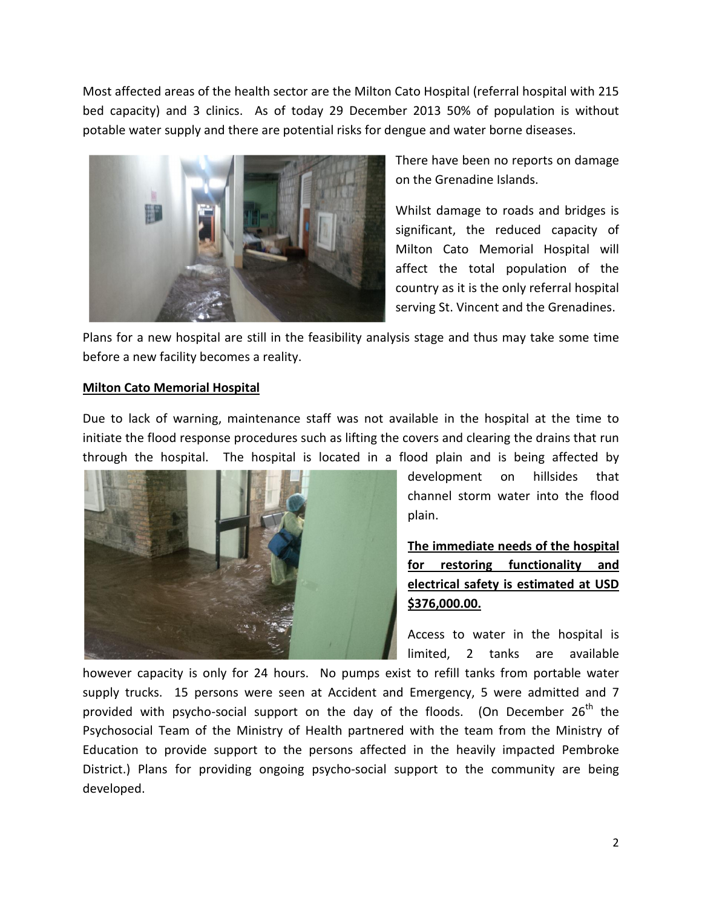Most affected areas of the health sector are the Milton Cato Hospital (referral hospital with 215 bed capacity) and 3 clinics. As of today 29 December 2013 50% of population is without potable water supply and there are potential risks for dengue and water borne diseases.



There have been no reports on damage on the Grenadine Islands.

Whilst damage to roads and bridges is significant, the reduced capacity of Milton Cato Memorial Hospital will affect the total population of the country as it is the only referral hospital serving St. Vincent and the Grenadines.

Plans for a new hospital are still in the feasibility analysis stage and thus may take some time before a new facility becomes a reality.

## Milton Cato Memorial Hospital

Due to lack of warning, maintenance staff was not available in the hospital at the time to initiate the flood response procedures such as lifting the covers and clearing the drains that run through the hospital. The hospital is located in a flood plain and is being affected by



development on hillsides that channel storm water into the flood plain.

The immediate needs of the hospital for restoring functionality and electrical safety is estimated at USD \$376,000.00.

Access to water in the hospital is limited, 2 tanks are available

however capacity is only for 24 hours. No pumps exist to refill tanks from portable water supply trucks. 15 persons were seen at Accident and Emergency, 5 were admitted and 7 provided with psycho-social support on the day of the floods. (On December  $26^{th}$  the Psychosocial Team of the Ministry of Health partnered with the team from the Ministry of Education to provide support to the persons affected in the heavily impacted Pembroke District.) Plans for providing ongoing psycho-social support to the community are being developed.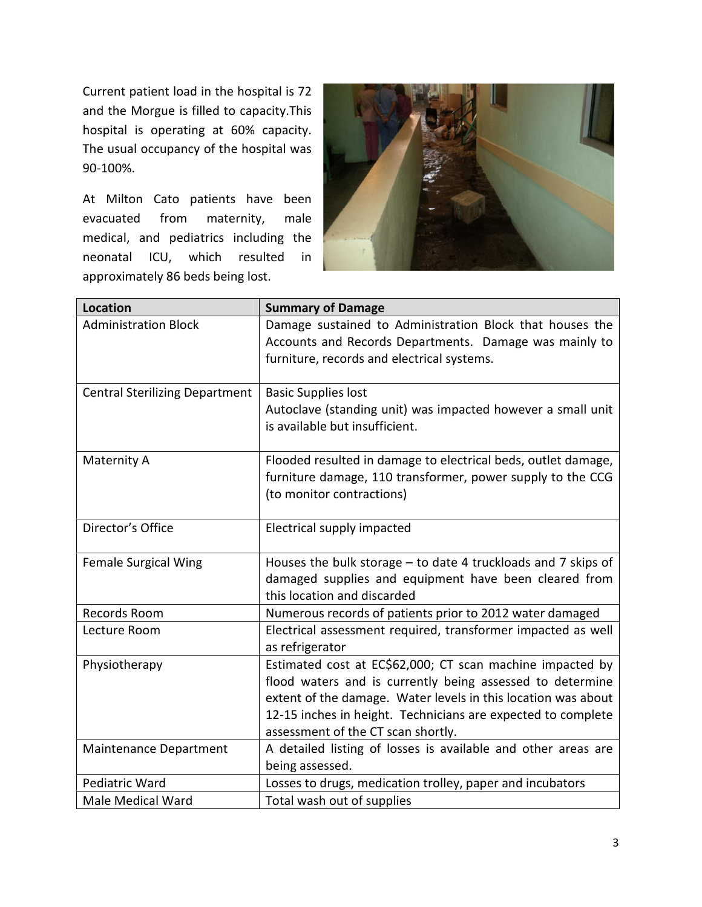Current patient load in the hospital is 72 and the Morgue is filled to capacity.This hospital is operating at 60% capacity. The usual occupancy of the hospital was 90-100%.

At Milton Cato patients have been evacuated from maternity, male medical, and pediatrics including the neonatal ICU, which resulted in approximately 86 beds being lost.



| <b>Location</b>                       | <b>Summary of Damage</b>                                                                                                                                                                                                                                                                      |
|---------------------------------------|-----------------------------------------------------------------------------------------------------------------------------------------------------------------------------------------------------------------------------------------------------------------------------------------------|
| <b>Administration Block</b>           | Damage sustained to Administration Block that houses the<br>Accounts and Records Departments. Damage was mainly to<br>furniture, records and electrical systems.                                                                                                                              |
| <b>Central Sterilizing Department</b> | <b>Basic Supplies lost</b><br>Autoclave (standing unit) was impacted however a small unit<br>is available but insufficient.                                                                                                                                                                   |
| Maternity A                           | Flooded resulted in damage to electrical beds, outlet damage,<br>furniture damage, 110 transformer, power supply to the CCG<br>(to monitor contractions)                                                                                                                                      |
| Director's Office                     | Electrical supply impacted                                                                                                                                                                                                                                                                    |
| <b>Female Surgical Wing</b>           | Houses the bulk storage $-$ to date 4 truckloads and 7 skips of<br>damaged supplies and equipment have been cleared from<br>this location and discarded                                                                                                                                       |
| Records Room                          | Numerous records of patients prior to 2012 water damaged                                                                                                                                                                                                                                      |
| Lecture Room                          | Electrical assessment required, transformer impacted as well<br>as refrigerator                                                                                                                                                                                                               |
| Physiotherapy                         | Estimated cost at EC\$62,000; CT scan machine impacted by<br>flood waters and is currently being assessed to determine<br>extent of the damage. Water levels in this location was about<br>12-15 inches in height. Technicians are expected to complete<br>assessment of the CT scan shortly. |
| Maintenance Department                | A detailed listing of losses is available and other areas are<br>being assessed.                                                                                                                                                                                                              |
| Pediatric Ward                        | Losses to drugs, medication trolley, paper and incubators                                                                                                                                                                                                                                     |
| <b>Male Medical Ward</b>              | Total wash out of supplies                                                                                                                                                                                                                                                                    |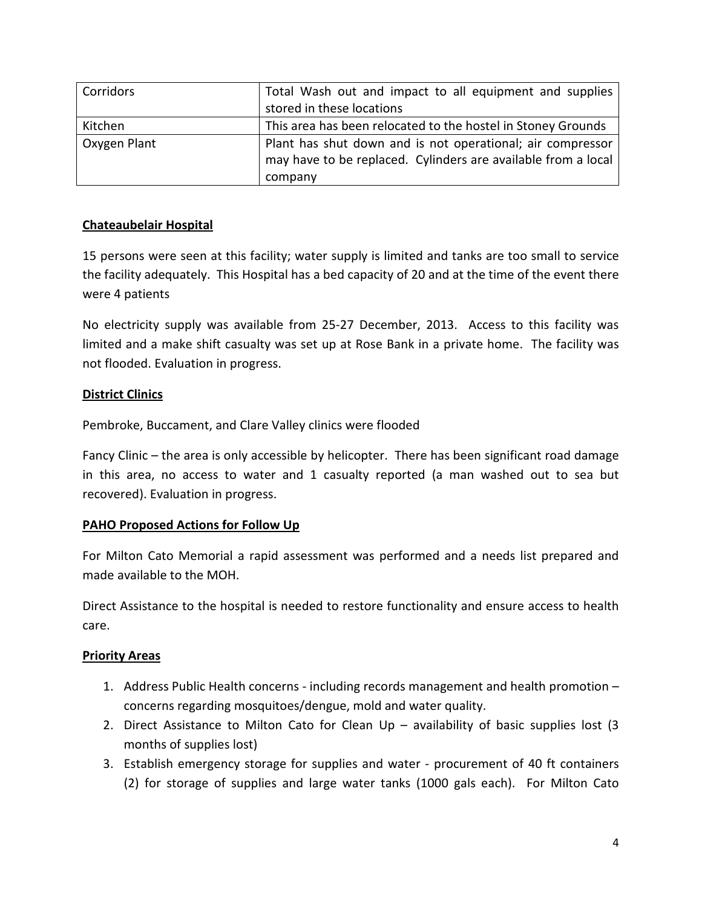| Corridors    | Total Wash out and impact to all equipment and supplies<br>stored in these locations                                                   |
|--------------|----------------------------------------------------------------------------------------------------------------------------------------|
| Kitchen      | This area has been relocated to the hostel in Stoney Grounds                                                                           |
| Oxygen Plant | Plant has shut down and is not operational; air compressor<br>may have to be replaced. Cylinders are available from a local<br>company |

# Chateaubelair Hospital

15 persons were seen at this facility; water supply is limited and tanks are too small to service the facility adequately. This Hospital has a bed capacity of 20 and at the time of the event there were 4 patients

No electricity supply was available from 25-27 December, 2013. Access to this facility was limited and a make shift casualty was set up at Rose Bank in a private home. The facility was not flooded. Evaluation in progress.

# District Clinics

Pembroke, Buccament, and Clare Valley clinics were flooded

Fancy Clinic – the area is only accessible by helicopter. There has been significant road damage in this area, no access to water and 1 casualty reported (a man washed out to sea but recovered). Evaluation in progress.

## PAHO Proposed Actions for Follow Up

For Milton Cato Memorial a rapid assessment was performed and a needs list prepared and made available to the MOH.

Direct Assistance to the hospital is needed to restore functionality and ensure access to health care.

## **Priority Areas**

- 1. Address Public Health concerns including records management and health promotion concerns regarding mosquitoes/dengue, mold and water quality.
- 2. Direct Assistance to Milton Cato for Clean Up availability of basic supplies lost (3 months of supplies lost)
- 3. Establish emergency storage for supplies and water procurement of 40 ft containers (2) for storage of supplies and large water tanks (1000 gals each). For Milton Cato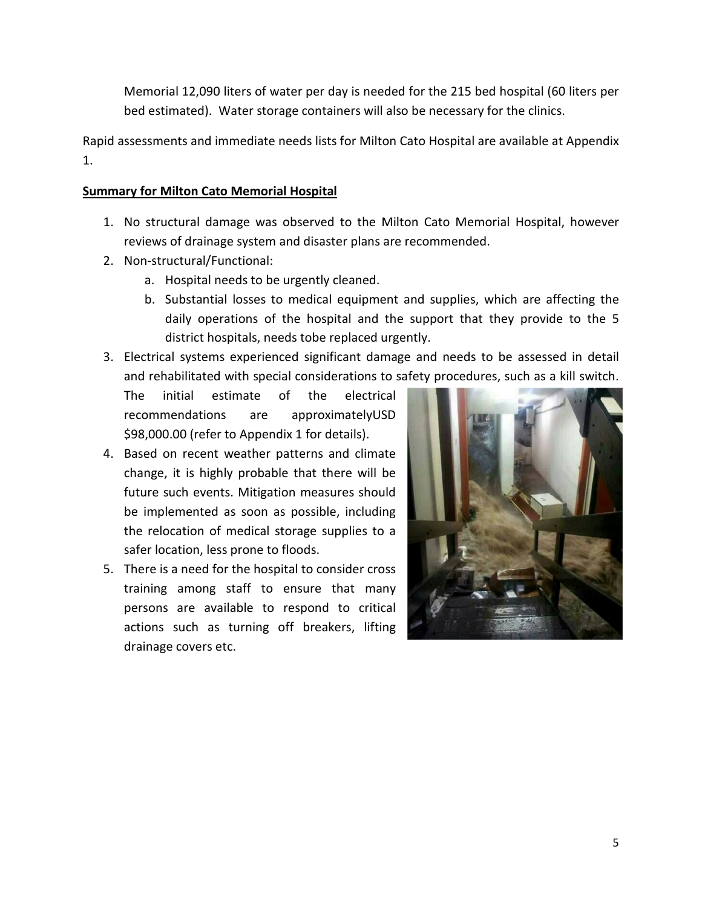Memorial 12,090 liters of water per day is needed for the 215 bed hospital (60 liters per bed estimated). Water storage containers will also be necessary for the clinics.

Rapid assessments and immediate needs lists for Milton Cato Hospital are available at Appendix 1.

## Summary for Milton Cato Memorial Hospital

- 1. No structural damage was observed to the Milton Cato Memorial Hospital, however reviews of drainage system and disaster plans are recommended.
- 2. Non-structural/Functional:
	- a. Hospital needs to be urgently cleaned.
	- b. Substantial losses to medical equipment and supplies, which are affecting the daily operations of the hospital and the support that they provide to the 5 district hospitals, needs tobe replaced urgently.
- 3. Electrical systems experienced significant damage and needs to be assessed in detail and rehabilitated with special considerations to safety procedures, such as a kill switch.

The initial estimate of the electrical recommendations are approximatelyUSD \$98,000.00 (refer to Appendix 1 for details).

- 4. Based on recent weather patterns and climate change, it is highly probable that there will be future such events. Mitigation measures should be implemented as soon as possible, including the relocation of medical storage supplies to a safer location, less prone to floods.
- 5. There is a need for the hospital to consider cross training among staff to ensure that many persons are available to respond to critical actions such as turning off breakers, lifting drainage covers etc.

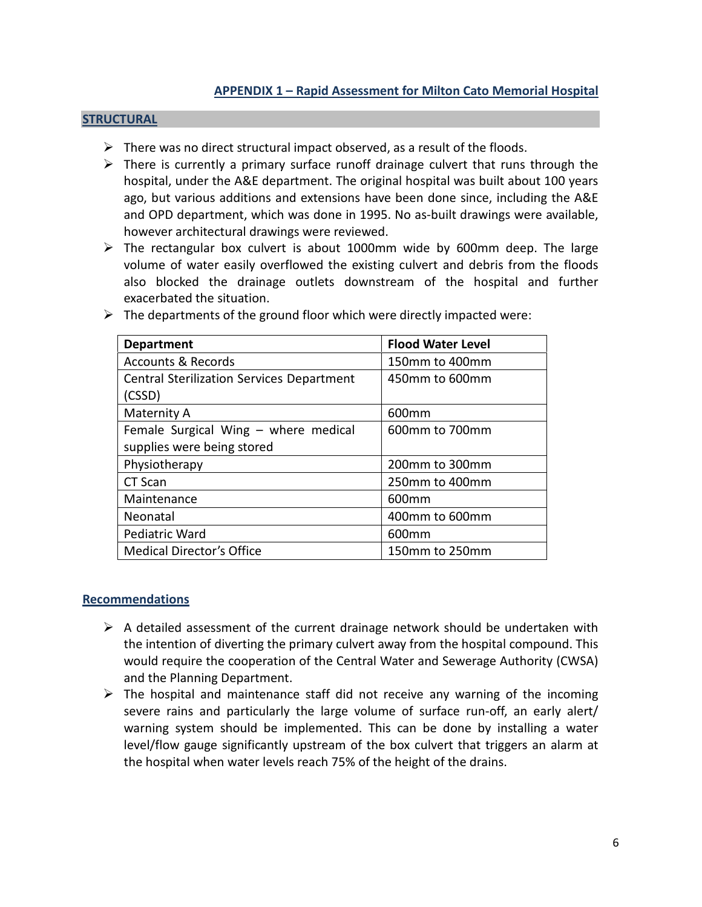#### **STRUCTURAL**

- $\triangleright$  There was no direct structural impact observed, as a result of the floods.
- $\triangleright$  There is currently a primary surface runoff drainage culvert that runs through the hospital, under the A&E department. The original hospital was built about 100 years ago, but various additions and extensions have been done since, including the A&E and OPD department, which was done in 1995. No as-built drawings were available, however architectural drawings were reviewed.
- $\triangleright$  The rectangular box culvert is about 1000mm wide by 600mm deep. The large volume of water easily overflowed the existing culvert and debris from the floods also blocked the drainage outlets downstream of the hospital and further exacerbated the situation.

| <b>Department</b>                                | <b>Flood Water Level</b> |  |
|--------------------------------------------------|--------------------------|--|
| <b>Accounts &amp; Records</b>                    | 150mm to 400mm           |  |
| <b>Central Sterilization Services Department</b> | 450mm to 600mm           |  |
| (CSSD)                                           |                          |  |
| Maternity A                                      | 600 <sub>mm</sub>        |  |
| Female Surgical Wing - where medical             | 600mm to 700mm           |  |
| supplies were being stored                       |                          |  |
| Physiotherapy                                    | 200mm to 300mm           |  |
| CT Scan                                          | 250mm to 400mm           |  |
| Maintenance                                      | 600 <sub>mm</sub>        |  |
| Neonatal                                         | 400mm to 600mm           |  |
| Pediatric Ward                                   | 600 <sub>mm</sub>        |  |
| <b>Medical Director's Office</b>                 | 150mm to 250mm           |  |

 $\triangleright$  The departments of the ground floor which were directly impacted were:

## Recommendations

- $\triangleright$  A detailed assessment of the current drainage network should be undertaken with the intention of diverting the primary culvert away from the hospital compound. This would require the cooperation of the Central Water and Sewerage Authority (CWSA) and the Planning Department.
- $\triangleright$  The hospital and maintenance staff did not receive any warning of the incoming severe rains and particularly the large volume of surface run-off, an early alert/ warning system should be implemented. This can be done by installing a water level/flow gauge significantly upstream of the box culvert that triggers an alarm at the hospital when water levels reach 75% of the height of the drains.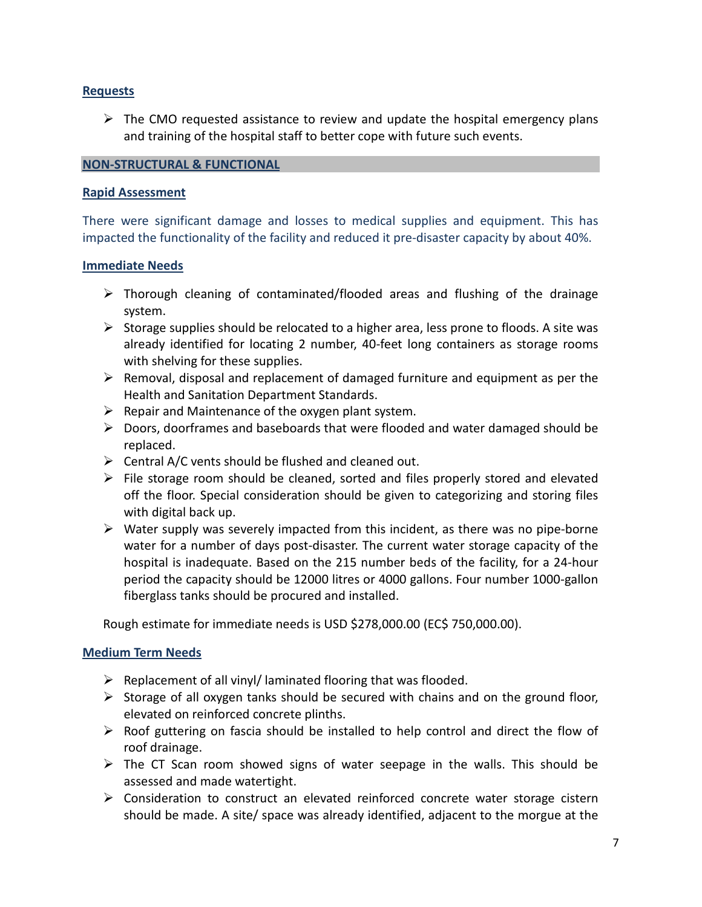# Requests

 $\triangleright$  The CMO requested assistance to review and update the hospital emergency plans and training of the hospital staff to better cope with future such events.

## NON-STRUCTURAL & FUNCTIONAL

#### Rapid Assessment

There were significant damage and losses to medical supplies and equipment. This has impacted the functionality of the facility and reduced it pre-disaster capacity by about 40%.

#### Immediate Needs

- $\triangleright$  Thorough cleaning of contaminated/flooded areas and flushing of the drainage system.
- $\triangleright$  Storage supplies should be relocated to a higher area, less prone to floods. A site was already identified for locating 2 number, 40-feet long containers as storage rooms with shelving for these supplies.
- $\triangleright$  Removal, disposal and replacement of damaged furniture and equipment as per the Health and Sanitation Department Standards.
- $\triangleright$  Repair and Maintenance of the oxygen plant system.
- $\triangleright$  Doors, doorframes and baseboards that were flooded and water damaged should be replaced.
- $\triangleright$  Central A/C vents should be flushed and cleaned out.
- $\triangleright$  File storage room should be cleaned, sorted and files properly stored and elevated off the floor. Special consideration should be given to categorizing and storing files with digital back up.
- $\triangleright$  Water supply was severely impacted from this incident, as there was no pipe-borne water for a number of days post-disaster. The current water storage capacity of the hospital is inadequate. Based on the 215 number beds of the facility, for a 24-hour period the capacity should be 12000 litres or 4000 gallons. Four number 1000-gallon fiberglass tanks should be procured and installed.

Rough estimate for immediate needs is USD \$278,000.00 (EC\$ 750,000.00).

## Medium Term Needs

- $\triangleright$  Replacement of all vinyl/ laminated flooring that was flooded.
- $\triangleright$  Storage of all oxygen tanks should be secured with chains and on the ground floor, elevated on reinforced concrete plinths.
- $\triangleright$  Roof guttering on fascia should be installed to help control and direct the flow of roof drainage.
- $\triangleright$  The CT Scan room showed signs of water seepage in the walls. This should be assessed and made watertight.
- $\triangleright$  Consideration to construct an elevated reinforced concrete water storage cistern should be made. A site/ space was already identified, adjacent to the morgue at the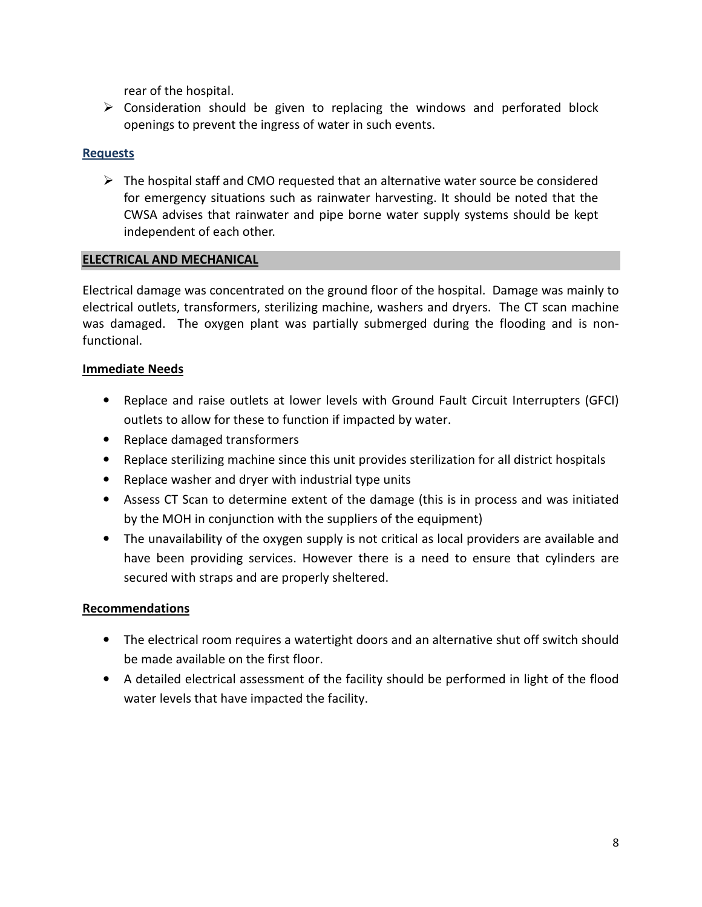rear of the hospital.

 $\triangleright$  Consideration should be given to replacing the windows and perforated block openings to prevent the ingress of water in such events.

# Requests

 $\triangleright$  The hospital staff and CMO requested that an alternative water source be considered for emergency situations such as rainwater harvesting. It should be noted that the CWSA advises that rainwater and pipe borne water supply systems should be kept independent of each other.

# ELECTRICAL AND MECHANICAL

Electrical damage was concentrated on the ground floor of the hospital. Damage was mainly to electrical outlets, transformers, sterilizing machine, washers and dryers. The CT scan machine was damaged. The oxygen plant was partially submerged during the flooding and is nonfunctional.

# Immediate Needs

- Replace and raise outlets at lower levels with Ground Fault Circuit Interrupters (GFCI) outlets to allow for these to function if impacted by water.
- Replace damaged transformers
- Replace sterilizing machine since this unit provides sterilization for all district hospitals
- Replace washer and dryer with industrial type units
- Assess CT Scan to determine extent of the damage (this is in process and was initiated by the MOH in conjunction with the suppliers of the equipment)
- The unavailability of the oxygen supply is not critical as local providers are available and have been providing services. However there is a need to ensure that cylinders are secured with straps and are properly sheltered.

## Recommendations

- The electrical room requires a watertight doors and an alternative shut off switch should be made available on the first floor.
- A detailed electrical assessment of the facility should be performed in light of the flood water levels that have impacted the facility.